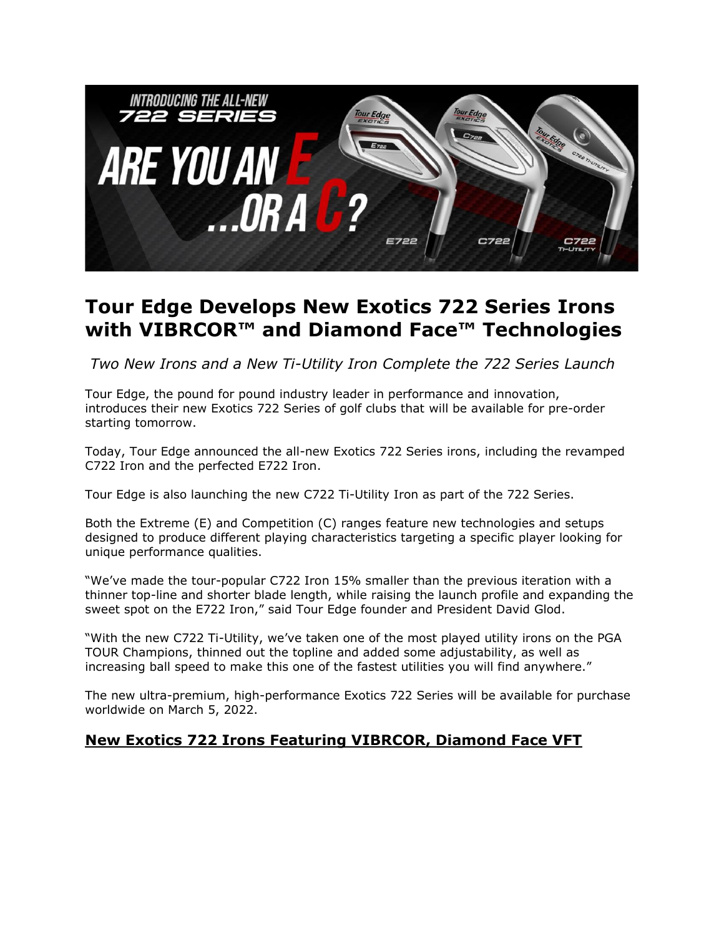

# **Tour Edge Develops New Exotics 722 Series Irons with VIBRCOR™ and Diamond Face™ Technologies**

*Two New Irons and a New Ti-Utility Iron Complete the 722 Series Launch* 

Tour Edge, the pound for pound industry leader in performance and innovation, introduces their new Exotics 722 Series of golf clubs that will be available for pre-order starting tomorrow.

Today, Tour Edge announced the all-new Exotics 722 Series irons, including the revamped C722 Iron and the perfected E722 Iron.

Tour Edge is also launching the new C722 Ti-Utility Iron as part of the 722 Series.

Both the Extreme (E) and Competition (C) ranges feature new technologies and setups designed to produce different playing characteristics targeting a specific player looking for unique performance qualities.

"We've made the tour-popular C722 Iron 15% smaller than the previous iteration with a thinner top-line and shorter blade length, while raising the launch profile and expanding the sweet spot on the E722 Iron," said Tour Edge founder and President David Glod.

"With the new C722 Ti-Utility, we've taken one of the most played utility irons on the PGA TOUR Champions, thinned out the topline and added some adjustability, as well as increasing ball speed to make this one of the fastest utilities you will find anywhere."

The new ultra-premium, high-performance Exotics 722 Series will be available for purchase worldwide on March 5, 2022.

### **New Exotics 722 Irons Featuring VIBRCOR, Diamond Face VFT**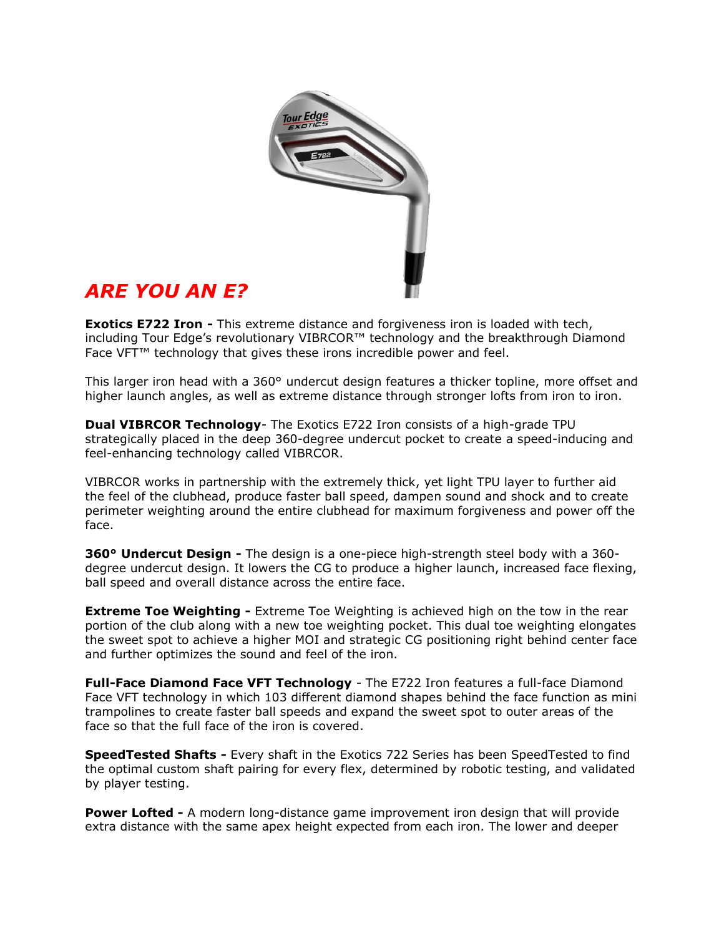

# *ARE YOU AN E?*

**Exotics E722 Iron -** This extreme distance and forgiveness iron is loaded with tech, including Tour Edge's revolutionary VIBRCOR™ technology and the breakthrough Diamond Face VFT™ technology that gives these irons incredible power and feel.

This larger iron head with a 360° undercut design features a thicker topline, more offset and higher launch angles, as well as extreme distance through stronger lofts from iron to iron.

**Dual VIBRCOR Technology**- The Exotics E722 Iron consists of a high-grade TPU strategically placed in the deep 360-degree undercut pocket to create a speed-inducing and feel-enhancing technology called VIBRCOR.

VIBRCOR works in partnership with the extremely thick, yet light TPU layer to further aid the feel of the clubhead, produce faster ball speed, dampen sound and shock and to create perimeter weighting around the entire clubhead for maximum forgiveness and power off the face.

**360° Undercut Design -** The design is a one-piece high-strength steel body with a 360 degree undercut design. It lowers the CG to produce a higher launch, increased face flexing, ball speed and overall distance across the entire face.

**Extreme Toe Weighting -** Extreme Toe Weighting is achieved high on the tow in the rear portion of the club along with a new toe weighting pocket. This dual toe weighting elongates the sweet spot to achieve a higher MOI and strategic CG positioning right behind center face and further optimizes the sound and feel of the iron.

**Full-Face Diamond Face VFT Technology** - The E722 Iron features a full-face Diamond Face VFT technology in which 103 different diamond shapes behind the face function as mini trampolines to create faster ball speeds and expand the sweet spot to outer areas of the face so that the full face of the iron is covered.

**SpeedTested Shafts -** Every shaft in the Exotics 722 Series has been SpeedTested to find the optimal custom shaft pairing for every flex, determined by robotic testing, and validated by player testing.

**Power Lofted -** A modern long-distance game improvement iron design that will provide extra distance with the same apex height expected from each iron. The lower and deeper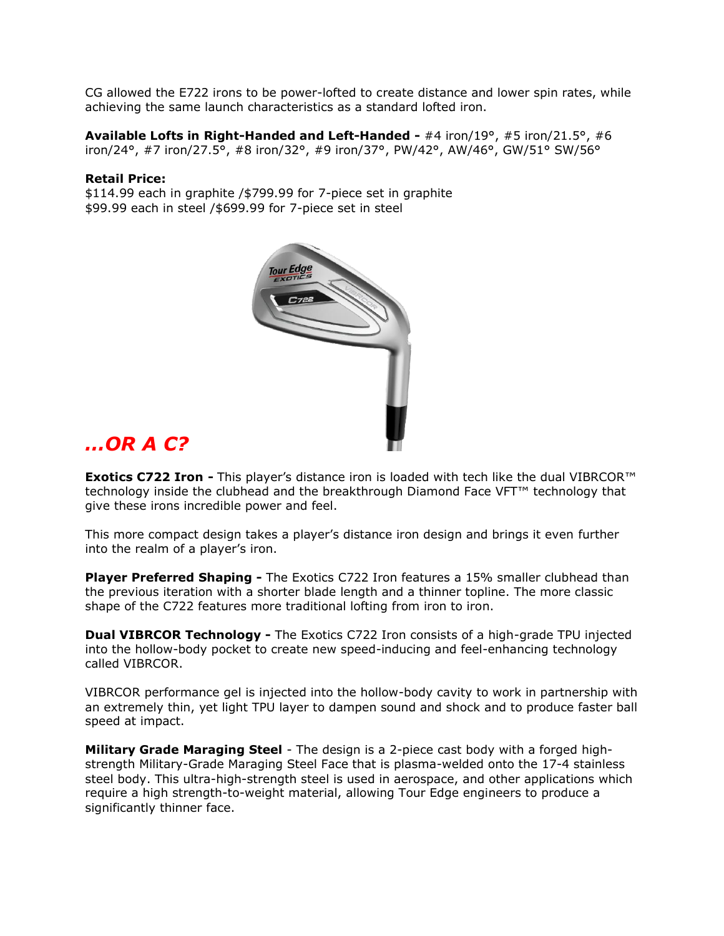CG allowed the E722 irons to be power-lofted to create distance and lower spin rates, while achieving the same launch characteristics as a standard lofted iron.

**Available Lofts in Right-Handed and Left-Handed -** #4 iron/19°, #5 iron/21.5°, #6 iron/24°, #7 iron/27.5°, #8 iron/32°, #9 iron/37°, PW/42°, AW/46°, GW/51° SW/56°

#### **Retail Price:**

\$114.99 each in graphite /\$799.99 for 7-piece set in graphite \$99.99 each in steel /\$699.99 for 7-piece set in steel



## *…OR A C?*

**Exotics C722 Iron -** This player's distance iron is loaded with tech like the dual VIBRCOR™ technology inside the clubhead and the breakthrough Diamond Face VFT™ technology that give these irons incredible power and feel.

This more compact design takes a player's distance iron design and brings it even further into the realm of a player's iron.

**Player Preferred Shaping -** The Exotics C722 Iron features a 15% smaller clubhead than the previous iteration with a shorter blade length and a thinner topline. The more classic shape of the C722 features more traditional lofting from iron to iron.

**Dual VIBRCOR Technology -** The Exotics C722 Iron consists of a high-grade TPU injected into the hollow-body pocket to create new speed-inducing and feel-enhancing technology called VIBRCOR.

VIBRCOR performance gel is injected into the hollow-body cavity to work in partnership with an extremely thin, yet light TPU layer to dampen sound and shock and to produce faster ball speed at impact.

**Military Grade Maraging Steel** - The design is a 2-piece cast body with a forged highstrength Military-Grade Maraging Steel Face that is plasma-welded onto the 17-4 stainless steel body. This ultra-high-strength steel is used in aerospace, and other applications which require a high strength-to-weight material, allowing Tour Edge engineers to produce a significantly thinner face.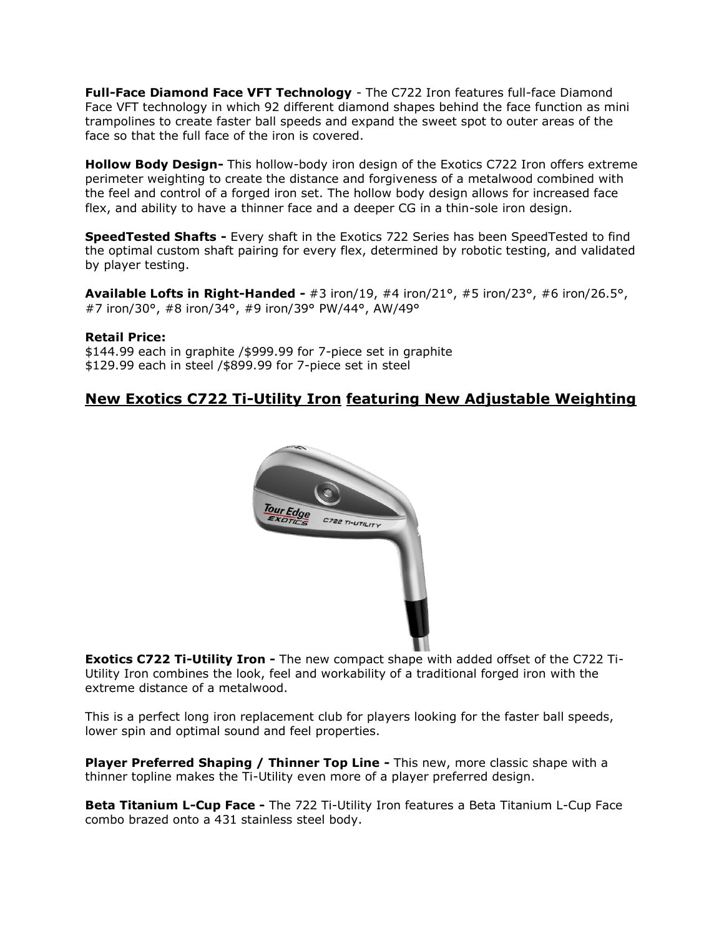**Full-Face Diamond Face VFT Technology** - The C722 Iron features full-face Diamond Face VFT technology in which 92 different diamond shapes behind the face function as mini trampolines to create faster ball speeds and expand the sweet spot to outer areas of the face so that the full face of the iron is covered.

**Hollow Body Design-** This hollow-body iron design of the Exotics C722 Iron offers extreme perimeter weighting to create the distance and forgiveness of a metalwood combined with the feel and control of a forged iron set. The hollow body design allows for increased face flex, and ability to have a thinner face and a deeper CG in a thin-sole iron design.

**SpeedTested Shafts -** Every shaft in the Exotics 722 Series has been SpeedTested to find the optimal custom shaft pairing for every flex, determined by robotic testing, and validated by player testing.

**Available Lofts in Right-Handed -** #3 iron/19, #4 iron/21°, #5 iron/23°, #6 iron/26.5°, #7 iron/30°, #8 iron/34°, #9 iron/39° PW/44°, AW/49°

#### **Retail Price:**

\$144.99 each in graphite /\$999.99 for 7-piece set in graphite \$129.99 each in steel /\$899.99 for 7-piece set in steel

### **New Exotics C722 Ti-Utility Iron featuring New Adjustable Weighting**



**Exotics C722 Ti-Utility Iron -** The new compact shape with added offset of the C722 Ti-Utility Iron combines the look, feel and workability of a traditional forged iron with the extreme distance of a metalwood.

This is a perfect long iron replacement club for players looking for the faster ball speeds, lower spin and optimal sound and feel properties.

**Player Preferred Shaping / Thinner Top Line -** This new, more classic shape with a thinner topline makes the Ti-Utility even more of a player preferred design.

**Beta Titanium L-Cup Face -** The 722 Ti-Utility Iron features a Beta Titanium L-Cup Face combo brazed onto a 431 stainless steel body.